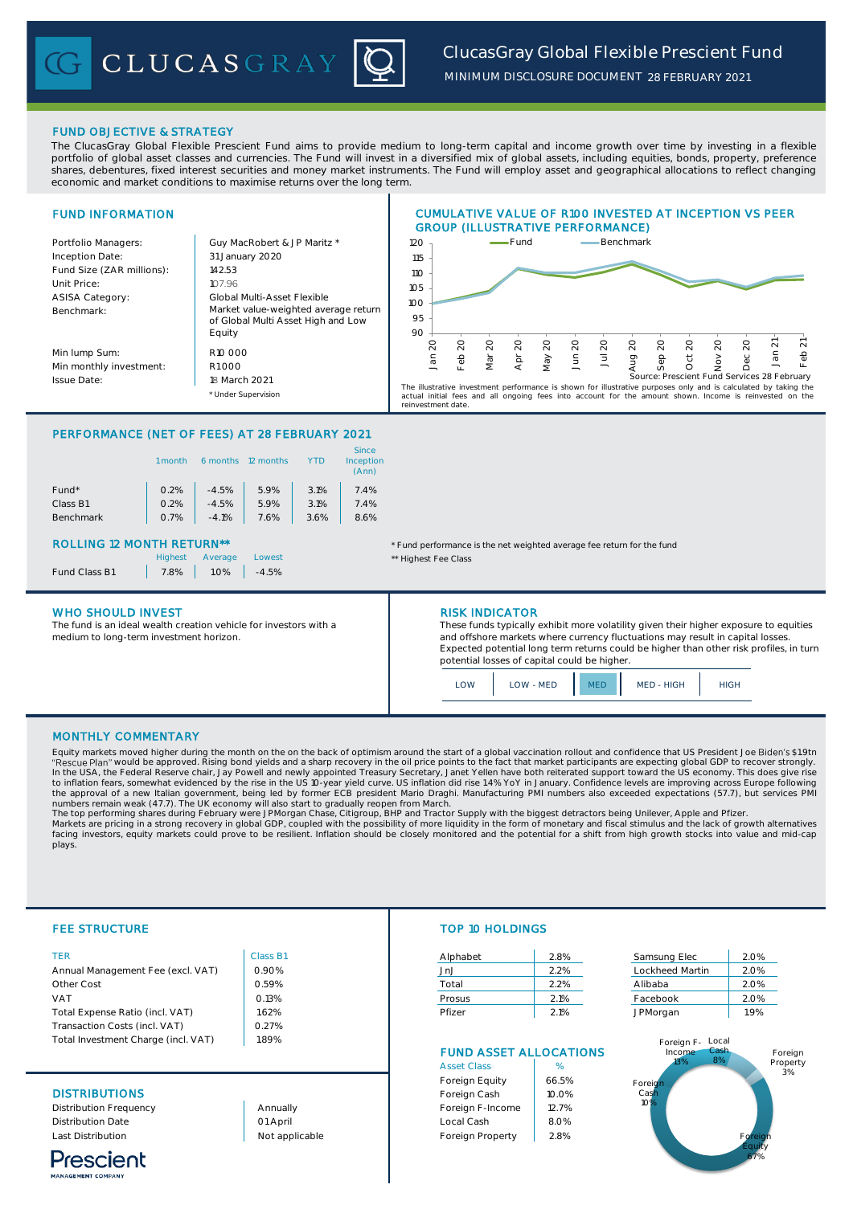CLUCASGRAY

*MINIMUM DISCLOSURE DOCUMENT 28 FEBRUARY 2021*

FUND OBJECTIVE & STRATEGY

The ClucasGray Global Flexible Prescient Fund aims to provide medium to long-term capital and income growth over time by investing in a flexible portfolio of global asset classes and currencies. The Fund will invest in a diversified mix of global assets, including equities, bonds, property, preference shares, debentures, fixed interest securities and money market instruments. The Fund will employ asset and geographical allocations to reflect changing economic and market conditions to maximise returns over the long term.

### FUND INFORMATION Portfolio Managers: <br> Guy MacRobert & JP Maritz \* Inception Date: Fund Size (ZAR millions): | 142.53 Unit Price: 107.96 ASISA Category: Benchmark: Min lump Sum: Min monthly investment: R1 000 Issue Date: \* Under Supervision Market value-weighted average return of Global Multi Asset High and Low Equity CUMULATIVE VALUE OF R100 INVESTED AT INCEPTION VS PEER GROUP (ILLUSTRATIVE PERFORMANCE) 31 January 2020 Global Multi-Asset Flexible R10 000 18 March 2021 90 95 100 105 110 115 120 Jan 20 Feb 20 Mar Apr May 20 Jun 20 Jul 20 Fund **Benchmark** The illustrative investment performance is shown for illustrative purposes only and is calculated by taking the<br>actual initial fees and all ongoing fees into account for the amount shown. Income is reinvested on the<br>reinve

# PERFORMANCE (NET OF FEES) AT 28 FEBRUARY 2021

|                  | month | 6 months | 12 months |      | <b>Since</b><br>Inception<br>(Ann) |
|------------------|-------|----------|-----------|------|------------------------------------|
| Fund*            | 0.2%  | $-4.5%$  | 5.9%      | 3.1% | 7.4%                               |
| Class B1         | 0.2%  | $-4.5%$  | 5.9%      | 3.1% | 7.4%                               |
| <b>Benchmark</b> | 0.7%  | $-4.1%$  | 7.6%      | 3.6% | 8.6%                               |

Fund Class B1 | 7.8% | 1.0% | -4.5%

### WHO SHOULD INVEST **RISK INDICATOR**

The fund is an ideal wealth creation vehicle for investors with a medium to long-term investment horizon.



ROLLING 12 MONTH RETURN<sup>\*\*</sup> THE STATE THAT THE THIRD PERSON THAT THE THIRD PERSON THE THIRD PERSON THE FUND THE FUND

Lowest **Lowest Average Lowest Average Lowest Average Average Average Average Average Average Average Average Ave** 

These funds typically exhibit more volatility given their higher exposure to equities and offshore markets where currency fluctuations may result in capital losses. Expected potential long term returns could be higher than other risk profiles, in turn potential losses of capital could be higher.

LOW LOW - MED MED MED - HIGH HIGH

# MONTHLY COMMENTARY

Equity markets moved higher during the month on the on the back of optimism around the start of a global vaccination rollout and confidence that US President Joe \$1.9tn "Rescue Plan" would be approved. Rising bond yields and a sharp recovery in the oil price points to the fact that market participants are expecting global GDP to recover strongly.<br>In the USA, the Federal Reserve chair, Jay

The top performing shares during February were JPMorgan Chase, Citigroup, BHP and Tractor Supply with the biggest detractors being Unilever, Apple and Pfizer.<br>Markets are pricing in a strong recovery in global GDP, coupled facing investors, equity markets could prove to be resilient. Inflation should be closely monitored and the potential for a shift from high growth stocks into value and mid-cap plays.

|   | e. |
|---|----|
| ٠ |    |
|   |    |

| TER                                 | Class B1 | Alphabet | 2.8% | Samsung Elec     | 2.0% |
|-------------------------------------|----------|----------|------|------------------|------|
| Annual Management Fee (excl. VAT)   | 0.90%    | JnJ      | 2.2% | Lockheed Martin  | 2.0% |
| Other Cost                          | 0.59%    | Total    | 2.2% | Alibaba          | 2.0% |
| VAT                                 | 0.13%    | Prosus   | 2.1% | Facebook         | 2.0% |
| Total Expense Ratio (incl. VAT)     | 1.62%    | Pfizer   | 2.1% | JPMorgan         | 1.9% |
| Transaction Costs (incl. VAT)       | 0.27%    |          |      |                  |      |
| Total Investment Charge (incl. VAT) | 1.89%    |          |      | Foreign F- Local |      |



# FEE STRUCTURE TOP 10 HOLDINGS

| Alphabet | 2.8% |
|----------|------|
| JnJ      | 2.2% |
| Total    | 2.2% |
| Prosus   | 2.1% |
| Pfizer   | 21%  |

| Samsung Elec    | 2.0% |
|-----------------|------|
| Lockheed Martin | 2.0% |
| Alibaba         | 2.0% |
| Facebook        | 2.0% |
| JPMorgan        | 1.9% |

# FUND ASSET ALLOCATIONS

|                          |                | <b>Asset Class</b> | %     |
|--------------------------|----------------|--------------------|-------|
|                          |                | Foreign Equity     | 66.5% |
| <b>DISTRIBUTIONS</b>     |                | Foreign Cash       | 10.0% |
| Distribution Frequency   | Annually       | Foreign F-Income   | 12.7% |
| <b>Distribution Date</b> | 01 April       | Local Cash         | 8.0%  |
| <b>Last Distribution</b> | Not applicable | Foreign Property   | 2.8%  |